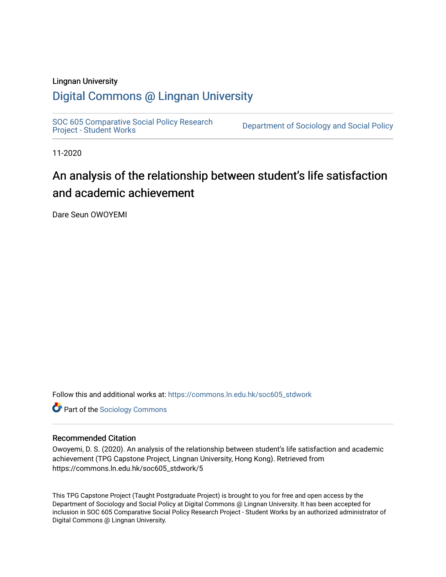#### Lingnan University

### [Digital Commons @ Lingnan University](https://commons.ln.edu.hk/)

[SOC 605 Comparative Social Policy Research](https://commons.ln.edu.hk/soc605_stdwork)<br>Project - Student Works

Department of Sociology and Social Policy

11-2020

### An analysis of the relationship between student's life satisfaction and academic achievement

Dare Seun OWOYEMI

Follow this and additional works at: [https://commons.ln.edu.hk/soc605\\_stdwork](https://commons.ln.edu.hk/soc605_stdwork?utm_source=commons.ln.edu.hk%2Fsoc605_stdwork%2F5&utm_medium=PDF&utm_campaign=PDFCoverPages)

**Part of the [Sociology Commons](http://network.bepress.com/hgg/discipline/416?utm_source=commons.ln.edu.hk%2Fsoc605_stdwork%2F5&utm_medium=PDF&utm_campaign=PDFCoverPages)** 

#### Recommended Citation

Owoyemi, D. S. (2020). An analysis of the relationship between student's life satisfaction and academic achievement (TPG Capstone Project, Lingnan University, Hong Kong). Retrieved from https://commons.ln.edu.hk/soc605\_stdwork/5

This TPG Capstone Project (Taught Postgraduate Project) is brought to you for free and open access by the Department of Sociology and Social Policy at Digital Commons @ Lingnan University. It has been accepted for inclusion in SOC 605 Comparative Social Policy Research Project - Student Works by an authorized administrator of Digital Commons @ Lingnan University.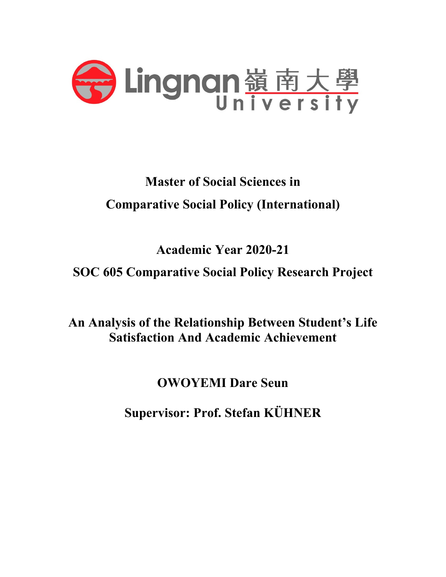

# **Master of Social Sciences in Comparative Social Policy (International)**

# **Academic Year 2020-21**

## **SOC 605 Comparative Social Policy Research Project**

**An Analysis of the Relationship Between Student's Life Satisfaction And Academic Achievement**

## **OWOYEMI Dare Seun**

**Supervisor: Prof. Stefan KÜHNER**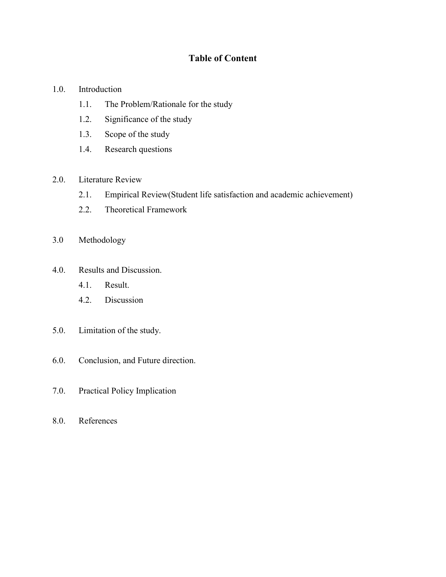### **Table of Content**

#### 1.0. Introduction

- 1.1. The Problem/Rationale for the study
- 1.2. Significance of the study
- 1.3. Scope of the study
- 1.4. Research questions

#### 2.0. Literature Review

- 2.1. Empirical Review(Student life satisfaction and academic achievement)
- 2.2. Theoretical Framework
- 3.0 Methodology
- 4.0. Results and Discussion.
	- 4.1. Result.
	- 4.2. Discussion
- 5.0. Limitation of the study.
- 6.0. Conclusion, and Future direction.
- 7.0. Practical Policy Implication
- 8.0. References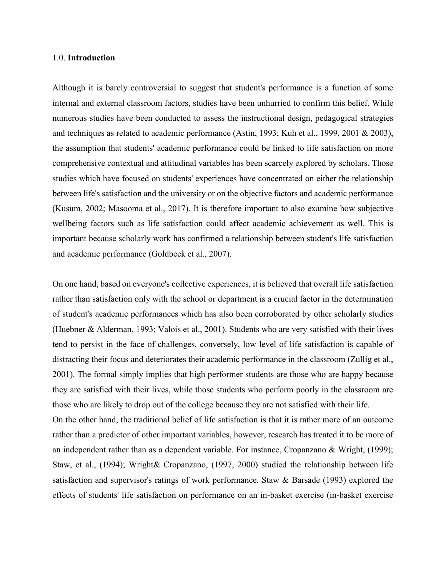#### 1.0. **Introduction**

Although it is barely controversial to suggest that student's performance is a function of some internal and external classroom factors, studies have been unhurried to confirm this belief. While numerous studies have been conducted to assess the instructional design, pedagogical strategies and techniques as related to academic performance (Astin, 1993; Kuh et al., 1999, 2001 & 2003), the assumption that students' academic performance could be linked to life satisfaction on more comprehensive contextual and attitudinal variables has been scarcely explored by scholars. Those studies which have focused on students' experiences have concentrated on either the relationship between life's satisfaction and the university or on the objective factors and academic performance (Kusum, 2002; Masooma et al., 2017). It is therefore important to also examine how subjective wellbeing factors such as life satisfaction could affect academic achievement as well. This is important because scholarly work has confirmed a relationship between student's life satisfaction and academic performance (Goldbeck et al., 2007).

On one hand, based on everyone's collective experiences, it is believed that overall life satisfaction rather than satisfaction only with the school or department is a crucial factor in the determination of student's academic performances which has also been corroborated by other scholarly studies (Huebner & Alderman, 1993; Valois et al., 2001). Students who are very satisfied with their lives tend to persist in the face of challenges, conversely, low level of life satisfaction is capable of distracting their focus and deteriorates their academic performance in the classroom (Zullig et al., 2001). The formal simply implies that high performer students are those who are happy because they are satisfied with their lives, while those students who perform poorly in the classroom are those who are likely to drop out of the college because they are not satisfied with their life. On the other hand, the traditional belief of life satisfaction is that it is rather more of an outcome rather than a predictor of other important variables, however, research has treated it to be more of an independent rather than as a dependent variable. For instance, Cropanzano & Wright, (1999); Staw, et al., (1994); Wright& Cropanzano, (1997, 2000) studied the relationship between life satisfaction and supervisor's ratings of work performance. Staw & Barsade (1993) explored the

effects of students' life satisfaction on performance on an in-basket exercise (in-basket exercise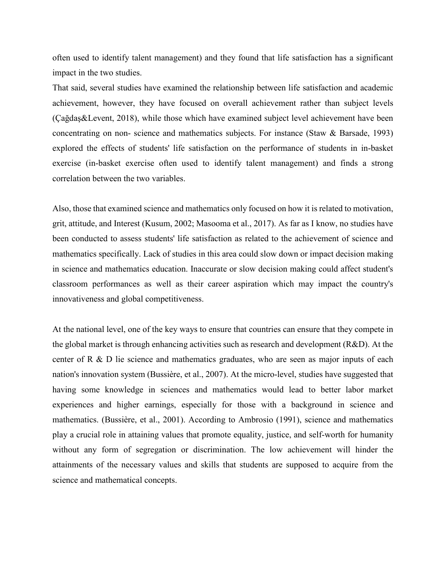often used to identify talent management) and they found that life satisfaction has a significant impact in the two studies.

That said, several studies have examined the relationship between life satisfaction and academic achievement, however, they have focused on overall achievement rather than subject levels (Çağdaş&Levent, 2018), while those which have examined subject level achievement have been concentrating on non- science and mathematics subjects. For instance (Staw & Barsade, 1993) explored the effects of students' life satisfaction on the performance of students in in-basket exercise (in-basket exercise often used to identify talent management) and finds a strong correlation between the two variables.

Also, those that examined science and mathematics only focused on how it is related to motivation, grit, attitude, and Interest (Kusum, 2002; Masooma et al., 2017). As far as I know, no studies have been conducted to assess students' life satisfaction as related to the achievement of science and mathematics specifically. Lack of studies in this area could slow down or impact decision making in science and mathematics education. Inaccurate or slow decision making could affect student's classroom performances as well as their career aspiration which may impact the country's innovativeness and global competitiveness.

At the national level, one of the key ways to ensure that countries can ensure that they compete in the global market is through enhancing activities such as research and development (R&D). At the center of R & D lie science and mathematics graduates, who are seen as major inputs of each nation's innovation system (Bussière, et al., 2007). At the micro-level, studies have suggested that having some knowledge in sciences and mathematics would lead to better labor market experiences and higher earnings, especially for those with a background in science and mathematics. (Bussière, et al., 2001). According to Ambrosio (1991), science and mathematics play a crucial role in attaining values that promote equality, justice, and self-worth for humanity without any form of segregation or discrimination. The low achievement will hinder the attainments of the necessary values and skills that students are supposed to acquire from the science and mathematical concepts.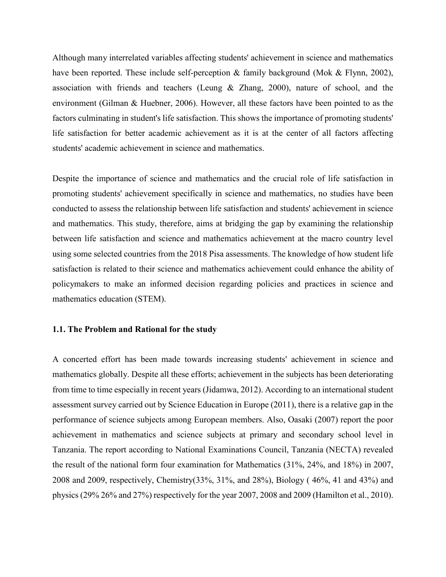Although many interrelated variables affecting students' achievement in science and mathematics have been reported. These include self-perception & family background (Mok & Flynn, 2002), association with friends and teachers (Leung & Zhang, 2000), nature of school, and the environment (Gilman & Huebner, 2006). However, all these factors have been pointed to as the factors culminating in student's life satisfaction. This shows the importance of promoting students' life satisfaction for better academic achievement as it is at the center of all factors affecting students' academic achievement in science and mathematics.

Despite the importance of science and mathematics and the crucial role of life satisfaction in promoting students' achievement specifically in science and mathematics, no studies have been conducted to assess the relationship between life satisfaction and students' achievement in science and mathematics. This study, therefore, aims at bridging the gap by examining the relationship between life satisfaction and science and mathematics achievement at the macro country level using some selected countries from the 2018 Pisa assessments. The knowledge of how student life satisfaction is related to their science and mathematics achievement could enhance the ability of policymakers to make an informed decision regarding policies and practices in science and mathematics education (STEM).

#### **1.1. The Problem and Rational for the study**

A concerted effort has been made towards increasing students' achievement in science and mathematics globally. Despite all these efforts; achievement in the subjects has been deteriorating from time to time especially in recent years (Jidamwa, 2012). According to an international student assessment survey carried out by Science Education in Europe (2011), there is a relative gap in the performance of science subjects among European members. Also, Oasaki (2007) report the poor achievement in mathematics and science subjects at primary and secondary school level in Tanzania. The report according to National Examinations Council, Tanzania (NECTA) revealed the result of the national form four examination for Mathematics (31%, 24%, and 18%) in 2007, 2008 and 2009, respectively, Chemistry(33%, 31%, and 28%), Biology ( 46%, 41 and 43%) and physics (29% 26% and 27%) respectively for the year 2007, 2008 and 2009 (Hamilton et al., 2010).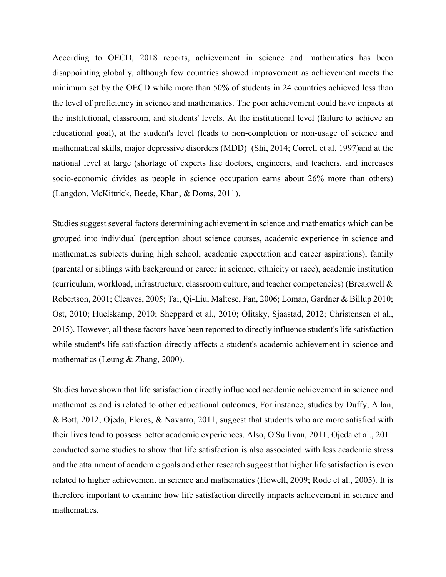According to OECD, 2018 reports, achievement in science and mathematics has been disappointing globally, although few countries showed improvement as achievement meets the minimum set by the OECD while more than 50% of students in 24 countries achieved less than the level of proficiency in science and mathematics. The poor achievement could have impacts at the institutional, classroom, and students' levels. At the institutional level (failure to achieve an educational goal), at the student's level (leads to non-completion or non-usage of science and mathematical skills, major depressive disorders (MDD) (Shi, 2014; Correll et al, 1997)and at the national level at large (shortage of experts like doctors, engineers, and teachers, and increases socio-economic divides as people in science occupation earns about 26% more than others) (Langdon, McKittrick, Beede, Khan, & Doms, 2011).

Studies suggest several factors determining achievement in science and mathematics which can be grouped into individual (perception about science courses, academic experience in science and mathematics subjects during high school, academic expectation and career aspirations), family (parental or siblings with background or career in science, ethnicity or race), academic institution (curriculum, workload, infrastructure, classroom culture, and teacher competencies) (Breakwell & Robertson, 2001; Cleaves, 2005; Tai, Qi-Liu, Maltese, Fan, 2006; Loman, Gardner & Billup 2010; Ost, 2010; Huelskamp, 2010; Sheppard et al., 2010; Olitsky, Sjaastad, 2012; Christensen et al., 2015). However, all these factors have been reported to directly influence student's life satisfaction while student's life satisfaction directly affects a student's academic achievement in science and mathematics (Leung & Zhang, 2000).

Studies have shown that life satisfaction directly influenced academic achievement in science and mathematics and is related to other educational outcomes, For instance, studies by Duffy, Allan, & Bott, 2012; Ojeda, Flores, & Navarro, 2011, suggest that students who are more satisfied with their lives tend to possess better academic experiences. Also, O'Sullivan, 2011; Ojeda et al., 2011 conducted some studies to show that life satisfaction is also associated with less academic stress and the attainment of academic goals and other research suggest that higher life satisfaction is even related to higher achievement in science and mathematics (Howell, 2009; Rode et al., 2005). It is therefore important to examine how life satisfaction directly impacts achievement in science and mathematics.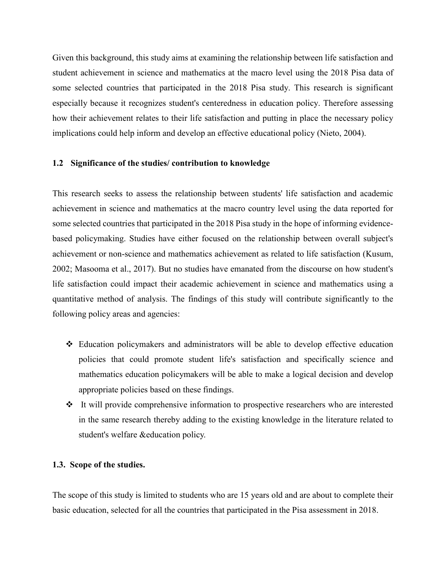Given this background, this study aims at examining the relationship between life satisfaction and student achievement in science and mathematics at the macro level using the 2018 Pisa data of some selected countries that participated in the 2018 Pisa study. This research is significant especially because it recognizes student's centeredness in education policy. Therefore assessing how their achievement relates to their life satisfaction and putting in place the necessary policy implications could help inform and develop an effective educational policy (Nieto, 2004).

#### **1.2 Significance of the studies/ contribution to knowledge**

This research seeks to assess the relationship between students' life satisfaction and academic achievement in science and mathematics at the macro country level using the data reported for some selected countries that participated in the 2018 Pisa study in the hope of informing evidencebased policymaking. Studies have either focused on the relationship between overall subject's achievement or non-science and mathematics achievement as related to life satisfaction (Kusum, 2002; Masooma et al., 2017). But no studies have emanated from the discourse on how student's life satisfaction could impact their academic achievement in science and mathematics using a quantitative method of analysis. The findings of this study will contribute significantly to the following policy areas and agencies:

- Education policymakers and administrators will be able to develop effective education policies that could promote student life's satisfaction and specifically science and mathematics education policymakers will be able to make a logical decision and develop appropriate policies based on these findings.
- \* It will provide comprehensive information to prospective researchers who are interested in the same research thereby adding to the existing knowledge in the literature related to student's welfare &education policy.

#### **1.3. Scope of the studies.**

The scope of this study is limited to students who are 15 years old and are about to complete their basic education, selected for all the countries that participated in the Pisa assessment in 2018.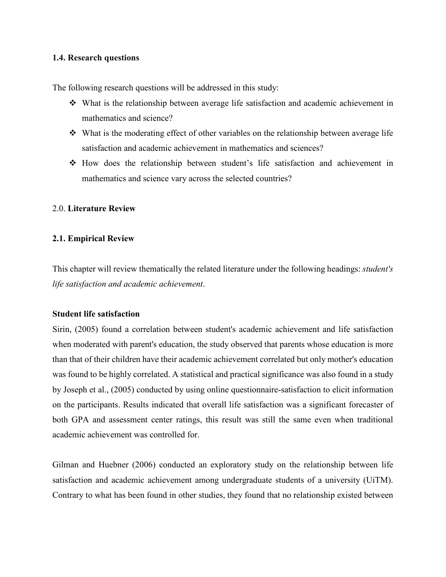#### **1.4. Research questions**

The following research questions will be addressed in this study:

- What is the relationship between average life satisfaction and academic achievement in mathematics and science?
- $\div$  What is the moderating effect of other variables on the relationship between average life satisfaction and academic achievement in mathematics and sciences?
- How does the relationship between student's life satisfaction and achievement in mathematics and science vary across the selected countries?

#### 2.0. **Literature Review**

#### **2.1. Empirical Review**

This chapter will review thematically the related literature under the following headings: *student's life satisfaction and academic achievement*.

#### **Student life satisfaction**

Sirin, (2005) found a correlation between student's academic achievement and life satisfaction when moderated with parent's education, the study observed that parents whose education is more than that of their children have their academic achievement correlated but only mother's education was found to be highly correlated. A statistical and practical significance was also found in a study by Joseph et al., (2005) conducted by using online questionnaire-satisfaction to elicit information on the participants. Results indicated that overall life satisfaction was a significant forecaster of both GPA and assessment center ratings, this result was still the same even when traditional academic achievement was controlled for.

Gilman and Huebner (2006) conducted an exploratory study on the relationship between life satisfaction and academic achievement among undergraduate students of a university (UiTM). Contrary to what has been found in other studies, they found that no relationship existed between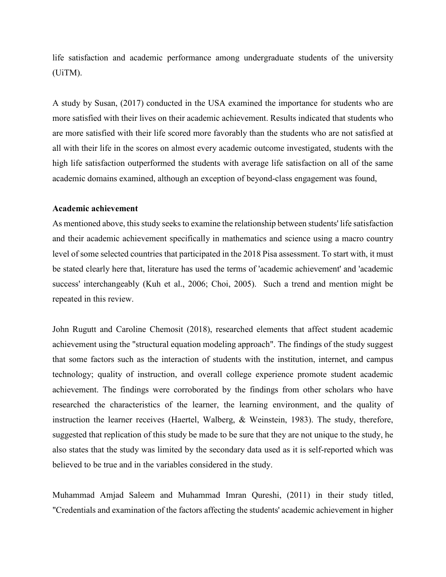life satisfaction and academic performance among undergraduate students of the university (UiTM).

A study by Susan, (2017) conducted in the USA examined the importance for students who are more satisfied with their lives on their academic achievement. Results indicated that students who are more satisfied with their life scored more favorably than the students who are not satisfied at all with their life in the scores on almost every academic outcome investigated, students with the high life satisfaction outperformed the students with average life satisfaction on all of the same academic domains examined, although an exception of beyond-class engagement was found,

#### **Academic achievement**

As mentioned above, this study seeks to examine the relationship between students' life satisfaction and their academic achievement specifically in mathematics and science using a macro country level of some selected countries that participated in the 2018 Pisa assessment. To start with, it must be stated clearly here that, literature has used the terms of 'academic achievement' and 'academic success' interchangeably (Kuh et al., 2006; Choi, 2005). Such a trend and mention might be repeated in this review.

John Rugutt and Caroline Chemosit (2018), researched elements that affect student academic achievement using the "structural equation modeling approach". The findings of the study suggest that some factors such as the interaction of students with the institution, internet, and campus technology; quality of instruction, and overall college experience promote student academic achievement. The findings were corroborated by the findings from other scholars who have researched the characteristics of the learner, the learning environment, and the quality of instruction the learner receives (Haertel, Walberg, & Weinstein, 1983). The study, therefore, suggested that replication of this study be made to be sure that they are not unique to the study, he also states that the study was limited by the secondary data used as it is self-reported which was believed to be true and in the variables considered in the study.

Muhammad Amjad Saleem and Muhammad Imran Qureshi, (2011) in their study titled, "Credentials and examination of the factors affecting the students' academic achievement in higher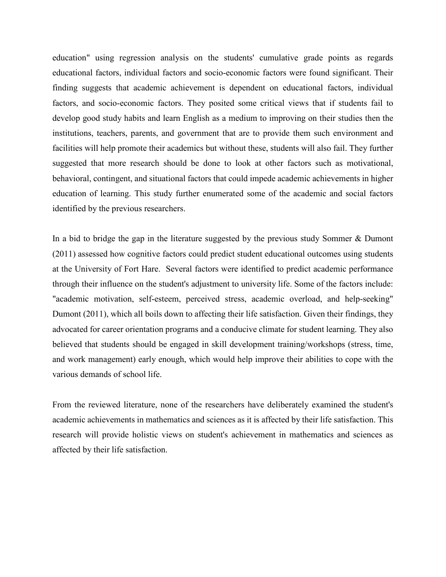education" using regression analysis on the students' cumulative grade points as regards educational factors, individual factors and socio-economic factors were found significant. Their finding suggests that academic achievement is dependent on educational factors, individual factors, and socio-economic factors. They posited some critical views that if students fail to develop good study habits and learn English as a medium to improving on their studies then the institutions, teachers, parents, and government that are to provide them such environment and facilities will help promote their academics but without these, students will also fail. They further suggested that more research should be done to look at other factors such as motivational, behavioral, contingent, and situational factors that could impede academic achievements in higher education of learning. This study further enumerated some of the academic and social factors identified by the previous researchers.

In a bid to bridge the gap in the literature suggested by the previous study Sommer & Dumont (2011) assessed how cognitive factors could predict student educational outcomes using students at the University of Fort Hare. Several factors were identified to predict academic performance through their influence on the student's adjustment to university life. Some of the factors include: "academic motivation, self-esteem, perceived stress, academic overload, and help-seeking" Dumont (2011), which all boils down to affecting their life satisfaction. Given their findings, they advocated for career orientation programs and a conducive climate for student learning. They also believed that students should be engaged in skill development training/workshops (stress, time, and work management) early enough, which would help improve their abilities to cope with the various demands of school life.

From the reviewed literature, none of the researchers have deliberately examined the student's academic achievements in mathematics and sciences as it is affected by their life satisfaction. This research will provide holistic views on student's achievement in mathematics and sciences as affected by their life satisfaction.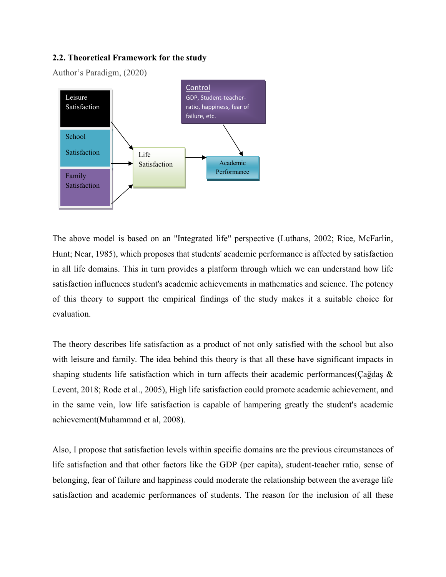#### **2.2. Theoretical Framework for the study**

Author's Paradigm, (2020)



The above model is based on an "Integrated life" perspective (Luthans, 2002; Rice, McFarlin, Hunt; Near, 1985), which proposes that students' academic performance is affected by satisfaction in all life domains. This in turn provides a platform through which we can understand how life satisfaction influences student's academic achievements in mathematics and science. The potency of this theory to support the empirical findings of the study makes it a suitable choice for evaluation.

The theory describes life satisfaction as a product of not only satisfied with the school but also with leisure and family. The idea behind this theory is that all these have significant impacts in shaping students life satisfaction which in turn affects their academic performances(Çağdaş & Levent, 2018; Rode et al., 2005), High life satisfaction could promote academic achievement, and in the same vein, low life satisfaction is capable of hampering greatly the student's academic achievement(Muhammad et al, 2008).

Also, I propose that satisfaction levels within specific domains are the previous circumstances of life satisfaction and that other factors like the GDP (per capita), student-teacher ratio, sense of belonging, fear of failure and happiness could moderate the relationship between the average life satisfaction and academic performances of students. The reason for the inclusion of all these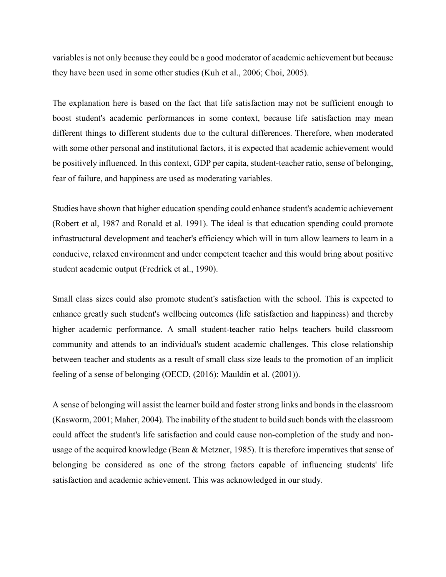variables is not only because they could be a good moderator of academic achievement but because they have been used in some other studies (Kuh et al., 2006; Choi, 2005).

The explanation here is based on the fact that life satisfaction may not be sufficient enough to boost student's academic performances in some context, because life satisfaction may mean different things to different students due to the cultural differences. Therefore, when moderated with some other personal and institutional factors, it is expected that academic achievement would be positively influenced. In this context, GDP per capita, student-teacher ratio, sense of belonging, fear of failure, and happiness are used as moderating variables.

Studies have shown that higher education spending could enhance student's academic achievement (Robert et al, 1987 and Ronald et al. 1991). The ideal is that education spending could promote infrastructural development and teacher's efficiency which will in turn allow learners to learn in a conducive, relaxed environment and under competent teacher and this would bring about positive student academic output (Fredrick et al., 1990).

Small class sizes could also promote student's satisfaction with the school. This is expected to enhance greatly such student's wellbeing outcomes (life satisfaction and happiness) and thereby higher academic performance. A small student-teacher ratio helps teachers build classroom community and attends to an individual's student academic challenges. This close relationship between teacher and students as a result of small class size leads to the promotion of an implicit feeling of a sense of belonging (OECD, (2016): Mauldin et al. (2001)).

A sense of belonging will assist the learner build and foster strong links and bonds in the classroom (Kasworm, 2001; Maher, 2004). The inability of the student to build such bonds with the classroom could affect the student's life satisfaction and could cause non-completion of the study and nonusage of the acquired knowledge (Bean & Metzner, 1985). It is therefore imperatives that sense of belonging be considered as one of the strong factors capable of influencing students' life satisfaction and academic achievement. This was acknowledged in our study.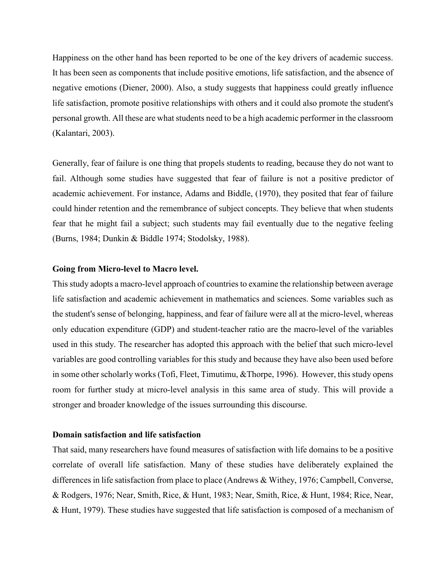Happiness on the other hand has been reported to be one of the key drivers of academic success. It has been seen as components that include positive emotions, life satisfaction, and the absence of negative emotions (Diener, 2000). Also, a study suggests that happiness could greatly influence life satisfaction, promote positive relationships with others and it could also promote the student's personal growth. All these are what students need to be a high academic performer in the classroom (Kalantari, 2003).

Generally, fear of failure is one thing that propels students to reading, because they do not want to fail. Although some studies have suggested that fear of failure is not a positive predictor of academic achievement. For instance, Adams and Biddle, (1970), they posited that fear of failure could hinder retention and the remembrance of subject concepts. They believe that when students fear that he might fail a subject; such students may fail eventually due to the negative feeling (Burns, 1984; Dunkin & Biddle 1974; Stodolsky, 1988).

#### **Going from Micro-level to Macro level.**

This study adopts a macro-level approach of countries to examine the relationship between average life satisfaction and academic achievement in mathematics and sciences. Some variables such as the student's sense of belonging, happiness, and fear of failure were all at the micro-level, whereas only education expenditure (GDP) and student-teacher ratio are the macro-level of the variables used in this study. The researcher has adopted this approach with the belief that such micro-level variables are good controlling variables for this study and because they have also been used before in some other scholarly works (Tofi, Fleet, Timutimu, &Thorpe, 1996). However, this study opens room for further study at micro-level analysis in this same area of study. This will provide a stronger and broader knowledge of the issues surrounding this discourse.

#### **Domain satisfaction and life satisfaction**

That said, many researchers have found measures of satisfaction with life domains to be a positive correlate of overall life satisfaction. Many of these studies have deliberately explained the differences in life satisfaction from place to place (Andrews & Withey, 1976; Campbell, Converse, & Rodgers, 1976; Near, Smith, Rice, & Hunt, 1983; Near, Smith, Rice, & Hunt, 1984; Rice, Near, & Hunt, 1979). These studies have suggested that life satisfaction is composed of a mechanism of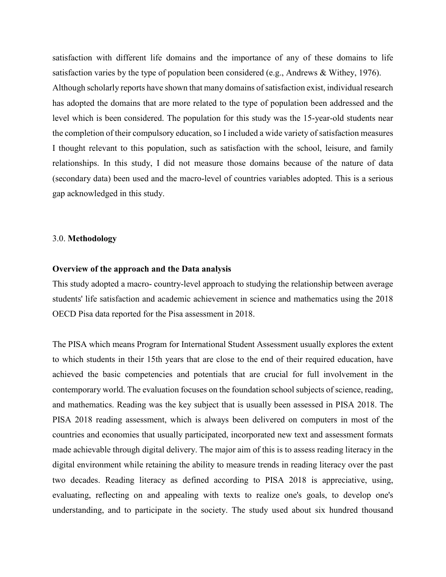satisfaction with different life domains and the importance of any of these domains to life satisfaction varies by the type of population been considered (e.g., Andrews & Withey, 1976). Although scholarly reports have shown that many domains of satisfaction exist, individual research has adopted the domains that are more related to the type of population been addressed and the level which is been considered. The population for this study was the 15-year-old students near the completion of their compulsory education, so I included a wide variety of satisfaction measures I thought relevant to this population, such as satisfaction with the school, leisure, and family relationships. In this study, I did not measure those domains because of the nature of data (secondary data) been used and the macro-level of countries variables adopted. This is a serious gap acknowledged in this study.

#### 3.0. **Methodology**

#### **Overview of the approach and the Data analysis**

This study adopted a macro- country-level approach to studying the relationship between average students' life satisfaction and academic achievement in science and mathematics using the 2018 OECD Pisa data reported for the Pisa assessment in 2018.

The PISA which means Program for International Student Assessment usually explores the extent to which students in their 15th years that are close to the end of their required education, have achieved the basic competencies and potentials that are crucial for full involvement in the contemporary world. The evaluation focuses on the foundation school subjects of science, reading, and mathematics. Reading was the key subject that is usually been assessed in PISA 2018. The PISA 2018 reading assessment, which is always been delivered on computers in most of the countries and economies that usually participated, incorporated new text and assessment formats made achievable through digital delivery. The major aim of this is to assess reading literacy in the digital environment while retaining the ability to measure trends in reading literacy over the past two decades. Reading literacy as defined according to PISA 2018 is appreciative, using, evaluating, reflecting on and appealing with texts to realize one's goals, to develop one's understanding, and to participate in the society. The study used about six hundred thousand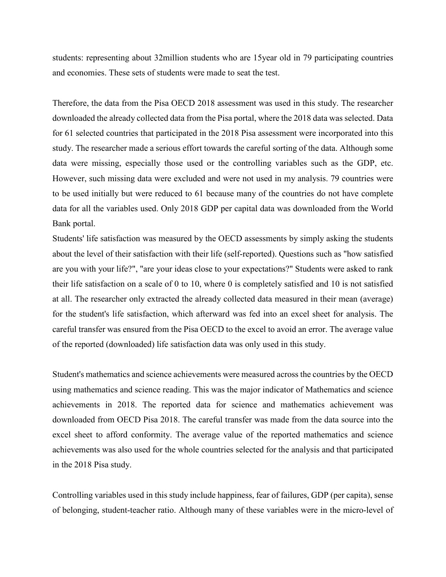students: representing about 32million students who are 15year old in 79 participating countries and economies. These sets of students were made to seat the test.

Therefore, the data from the Pisa OECD 2018 assessment was used in this study. The researcher downloaded the already collected data from the Pisa portal, where the 2018 data was selected. Data for 61 selected countries that participated in the 2018 Pisa assessment were incorporated into this study. The researcher made a serious effort towards the careful sorting of the data. Although some data were missing, especially those used or the controlling variables such as the GDP, etc. However, such missing data were excluded and were not used in my analysis. 79 countries were to be used initially but were reduced to 61 because many of the countries do not have complete data for all the variables used. Only 2018 GDP per capital data was downloaded from the World Bank portal.

Students' life satisfaction was measured by the OECD assessments by simply asking the students about the level of their satisfaction with their life (self-reported). Questions such as "how satisfied are you with your life?", "are your ideas close to your expectations?" Students were asked to rank their life satisfaction on a scale of 0 to 10, where 0 is completely satisfied and 10 is not satisfied at all. The researcher only extracted the already collected data measured in their mean (average) for the student's life satisfaction, which afterward was fed into an excel sheet for analysis. The careful transfer was ensured from the Pisa OECD to the excel to avoid an error. The average value of the reported (downloaded) life satisfaction data was only used in this study.

Student's mathematics and science achievements were measured across the countries by the OECD using mathematics and science reading. This was the major indicator of Mathematics and science achievements in 2018. The reported data for science and mathematics achievement was downloaded from OECD Pisa 2018. The careful transfer was made from the data source into the excel sheet to afford conformity. The average value of the reported mathematics and science achievements was also used for the whole countries selected for the analysis and that participated in the 2018 Pisa study.

Controlling variables used in this study include happiness, fear of failures, GDP (per capita), sense of belonging, student-teacher ratio. Although many of these variables were in the micro-level of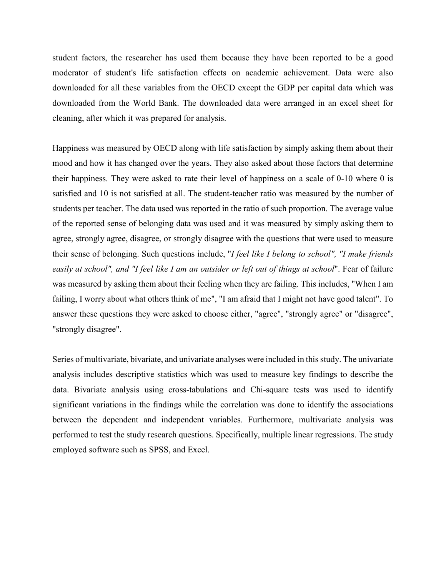student factors, the researcher has used them because they have been reported to be a good moderator of student's life satisfaction effects on academic achievement. Data were also downloaded for all these variables from the OECD except the GDP per capital data which was downloaded from the World Bank. The downloaded data were arranged in an excel sheet for cleaning, after which it was prepared for analysis.

Happiness was measured by OECD along with life satisfaction by simply asking them about their mood and how it has changed over the years. They also asked about those factors that determine their happiness. They were asked to rate their level of happiness on a scale of 0-10 where 0 is satisfied and 10 is not satisfied at all. The student-teacher ratio was measured by the number of students per teacher. The data used was reported in the ratio of such proportion. The average value of the reported sense of belonging data was used and it was measured by simply asking them to agree, strongly agree, disagree, or strongly disagree with the questions that were used to measure their sense of belonging. Such questions include, "*I feel like I belong to school", "I make friends easily at school", and "I feel like I am an outsider or left out of things at school*". Fear of failure was measured by asking them about their feeling when they are failing. This includes, "When I am failing, I worry about what others think of me", "I am afraid that I might not have good talent". To answer these questions they were asked to choose either, "agree", "strongly agree" or "disagree", "strongly disagree".

Series of multivariate, bivariate, and univariate analyses were included in this study. The univariate analysis includes descriptive statistics which was used to measure key findings to describe the data. Bivariate analysis using cross-tabulations and Chi-square tests was used to identify significant variations in the findings while the correlation was done to identify the associations between the dependent and independent variables. Furthermore, multivariate analysis was performed to test the study research questions. Specifically, multiple linear regressions. The study employed software such as SPSS, and Excel.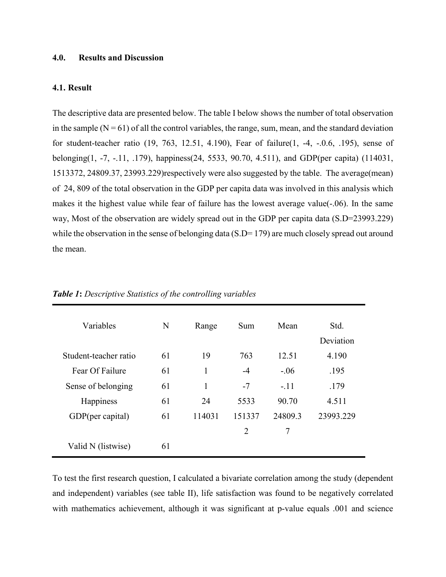#### **4.0. Results and Discussion**

#### **4.1. Result**

The descriptive data are presented below. The table I below shows the number of total observation in the sample  $(N = 61)$  of all the control variables, the range, sum, mean, and the standard deviation for student-teacher ratio (19, 763, 12.51, 4.190), Fear of failure(1, -4, -.0.6, .195), sense of belonging(1, -7, -.11, .179), happiness(24, 5533, 90.70, 4.511), and GDP(per capita) (114031, 1513372, 24809.37, 23993.229)respectively were also suggested by the table. The average(mean) of 24, 809 of the total observation in the GDP per capita data was involved in this analysis which makes it the highest value while fear of failure has the lowest average value(-.06). In the same way, Most of the observation are widely spread out in the GDP per capita data (S.D=23993.229) while the observation in the sense of belonging data (S.D= 179) are much closely spread out around the mean.

| Variables             | N  | Range  | Sum            | Mean    | Std.      |
|-----------------------|----|--------|----------------|---------|-----------|
|                       |    |        |                |         | Deviation |
| Student-teacher ratio | 61 | 19     | 763            | 12.51   | 4.190     |
| Fear Of Failure       | 61 | 1      | $-4$           | $-.06$  | .195      |
| Sense of belonging    | 61 | 1      | $-7$           | $-.11$  | .179      |
| Happiness             | 61 | 24     | 5533           | 90.70   | 4.511     |
| GDP(per capital)      | 61 | 114031 | 151337         | 24809.3 | 23993.229 |
|                       |    |        | $\overline{2}$ | 7       |           |
| Valid N (listwise)    | 61 |        |                |         |           |

*Table 1***:** *Descriptive Statistics of the controlling variables*

To test the first research question, I calculated a bivariate correlation among the study (dependent and independent) variables (see table II), life satisfaction was found to be negatively correlated with mathematics achievement, although it was significant at p-value equals .001 and science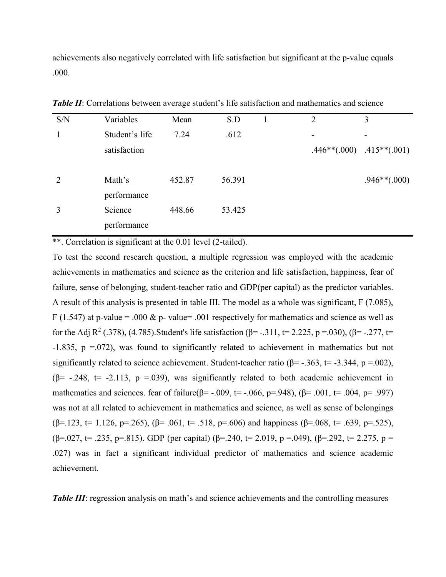achievements also negatively correlated with life satisfaction but significant at the p-value equals .000.

| S/N | Variables      | Mean   | S.D    | $\overline{2}$ | 3                             |
|-----|----------------|--------|--------|----------------|-------------------------------|
| 1   | Student's life | 7.24   | .612   |                |                               |
|     | satisfaction   |        |        |                | $.446**(.000)$ $.415**(.001)$ |
| 2   | Math's         | 452.87 | 56.391 |                | $.946**(.000)$                |
|     | performance    |        |        |                |                               |
| 3   | Science        | 448.66 | 53.425 |                |                               |
|     | performance    |        |        |                |                               |
|     |                |        |        |                |                               |

**Table II**: Correlations between average student's life satisfaction and mathematics and science

\*\*. Correlation is significant at the 0.01 level (2-tailed).

To test the second research question, a multiple regression was employed with the academic achievements in mathematics and science as the criterion and life satisfaction, happiness, fear of failure, sense of belonging, student-teacher ratio and GDP(per capital) as the predictor variables. A result of this analysis is presented in table III. The model as a whole was significant, F (7.085), F (1.547) at p-value = .000 & p- value = .001 respectively for mathematics and science as well as for the Adj R<sup>2</sup> (.378), (4.785). Student's life satisfaction (β= -.311, t= 2.225, p =.030), (β= -.277, t= -1.835, p =.072), was found to significantly related to achievement in mathematics but not significantly related to science achievement. Student-teacher ratio ( $\beta$ = -.363, t= -3.344, p =.002), ( $\beta$ = -.248, t= -2.113, p =.039), was significantly related to both academic achievement in mathematics and sciences. fear of failure( $\beta$ = -.009, t= -.066, p=.948), ( $\beta$ = .001, t= .004, p= .997) was not at all related to achievement in mathematics and science, as well as sense of belongings  $(\beta = 123, t = 1.126, p = 265), (\beta = .061, t = .518, p = .606)$  and happiness  $(\beta = .068, t = .639, p = .525)$ ,  $(\beta = .027, t = .235, p = .815)$ . GDP (per capital) ( $\beta = .240, t = 2.019, p = .049$ ), ( $\beta = .292, t = 2.275, p = .049$ ) .027) was in fact a significant individual predictor of mathematics and science academic achievement.

*Table III*: regression analysis on math's and science achievements and the controlling measures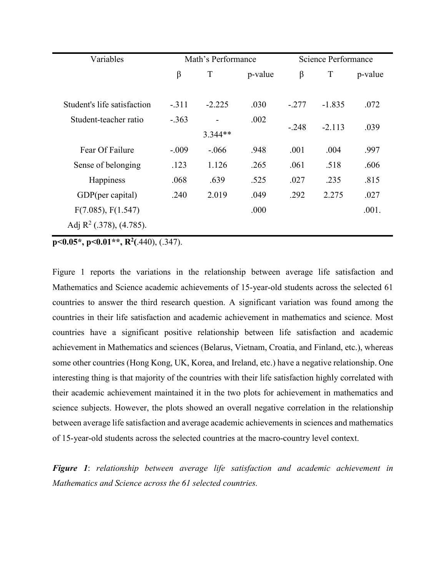| Variables                           | Math's Performance |          |         | Science Performance |          |         |
|-------------------------------------|--------------------|----------|---------|---------------------|----------|---------|
|                                     | β                  | T        | p-value | β                   | T        | p-value |
|                                     |                    |          |         |                     |          |         |
| Student's life satisfaction         | $-.311$            | $-2.225$ | .030    | $-.277$             | $-1.835$ | .072    |
| Student-teacher ratio               | $-.363$            |          | .002    | $-.248$             | $-2.113$ | .039    |
|                                     |                    | 3.344**  |         |                     |          |         |
| Fear Of Failure                     | $-.009$            | $-.066$  | .948    | .001                | .004     | .997    |
| Sense of belonging                  | .123               | 1.126    | .265    | .061                | .518     | .606    |
| <b>Happiness</b>                    | .068               | .639     | .525    | .027                | .235     | .815    |
| GDP(per capital)                    | .240               | 2.019    | .049    | .292                | 2.275    | .027    |
| F(7.085), F(1.547)                  |                    |          | .000    |                     |          | .001.   |
| Adj $\mathbb{R}^2$ (.378), (4.785). |                    |          |         |                     |          |         |

**p**<0.05\*, **p**<0.01\*\*, **R**<sup>2</sup>(.440), (.347).

Figure 1 reports the variations in the relationship between average life satisfaction and Mathematics and Science academic achievements of 15-year-old students across the selected 61 countries to answer the third research question. A significant variation was found among the countries in their life satisfaction and academic achievement in mathematics and science. Most countries have a significant positive relationship between life satisfaction and academic achievement in Mathematics and sciences (Belarus, Vietnam, Croatia, and Finland, etc.), whereas some other countries (Hong Kong, UK, Korea, and Ireland, etc.) have a negative relationship. One interesting thing is that majority of the countries with their life satisfaction highly correlated with their academic achievement maintained it in the two plots for achievement in mathematics and science subjects. However, the plots showed an overall negative correlation in the relationship between average life satisfaction and average academic achievements in sciences and mathematics of 15-year-old students across the selected countries at the macro-country level context.

*Figure 1*: *relationship between average life satisfaction and academic achievement in Mathematics and Science across the 61 selected countries.*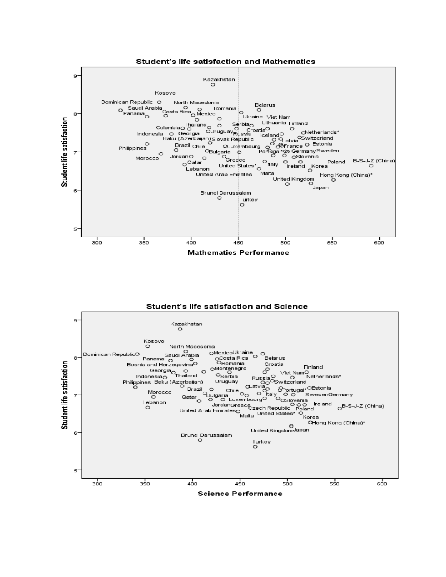

Student's life satisfaction and Science

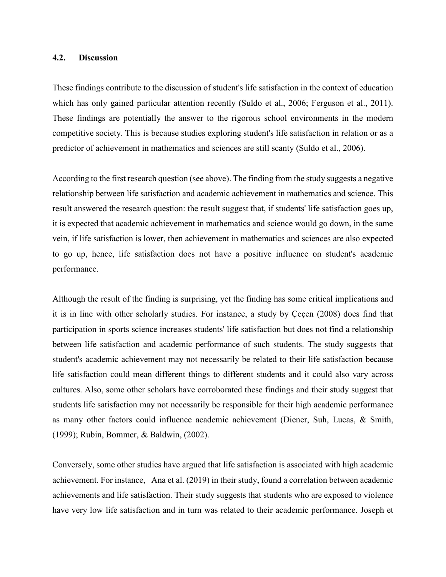#### **4.2. Discussion**

These findings contribute to the discussion of student's life satisfaction in the context of education which has only gained particular attention recently (Suldo et al., 2006; Ferguson et al., 2011). These findings are potentially the answer to the rigorous school environments in the modern competitive society. This is because studies exploring student's life satisfaction in relation or as a predictor of achievement in mathematics and sciences are still scanty (Suldo et al., 2006).

According to the first research question (see above). The finding from the study suggests a negative relationship between life satisfaction and academic achievement in mathematics and science. This result answered the research question: the result suggest that, if students' life satisfaction goes up, it is expected that academic achievement in mathematics and science would go down, in the same vein, if life satisfaction is lower, then achievement in mathematics and sciences are also expected to go up, hence, life satisfaction does not have a positive influence on student's academic performance.

Although the result of the finding is surprising, yet the finding has some critical implications and it is in line with other scholarly studies. For instance, a study by Çeçen (2008) does find that participation in sports science increases students' life satisfaction but does not find a relationship between life satisfaction and academic performance of such students. The study suggests that student's academic achievement may not necessarily be related to their life satisfaction because life satisfaction could mean different things to different students and it could also vary across cultures. Also, some other scholars have corroborated these findings and their study suggest that students life satisfaction may not necessarily be responsible for their high academic performance as many other factors could influence academic achievement (Diener, Suh, Lucas, & Smith, (1999); Rubin, Bommer, & Baldwin, (2002).

Conversely, some other studies have argued that life satisfaction is associated with high academic achievement. For instance, Ana et al. (2019) in their study, found a correlation between academic achievements and life satisfaction. Their study suggests that students who are exposed to violence have very low life satisfaction and in turn was related to their academic performance. Joseph et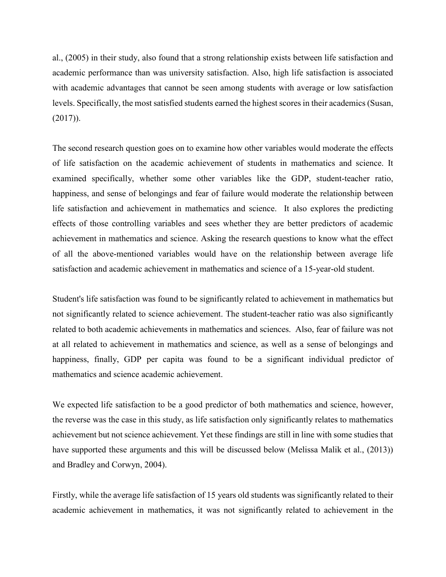al., (2005) in their study, also found that a strong relationship exists between life satisfaction and academic performance than was university satisfaction. Also, high life satisfaction is associated with academic advantages that cannot be seen among students with average or low satisfaction levels. Specifically, the most satisfied students earned the highest scores in their academics (Susan, (2017)).

The second research question goes on to examine how other variables would moderate the effects of life satisfaction on the academic achievement of students in mathematics and science. It examined specifically, whether some other variables like the GDP, student-teacher ratio, happiness, and sense of belongings and fear of failure would moderate the relationship between life satisfaction and achievement in mathematics and science. It also explores the predicting effects of those controlling variables and sees whether they are better predictors of academic achievement in mathematics and science. Asking the research questions to know what the effect of all the above-mentioned variables would have on the relationship between average life satisfaction and academic achievement in mathematics and science of a 15-year-old student.

Student's life satisfaction was found to be significantly related to achievement in mathematics but not significantly related to science achievement. The student-teacher ratio was also significantly related to both academic achievements in mathematics and sciences. Also, fear of failure was not at all related to achievement in mathematics and science, as well as a sense of belongings and happiness, finally, GDP per capita was found to be a significant individual predictor of mathematics and science academic achievement.

We expected life satisfaction to be a good predictor of both mathematics and science, however, the reverse was the case in this study, as life satisfaction only significantly relates to mathematics achievement but not science achievement. Yet these findings are still in line with some studies that have supported these arguments and this will be discussed below (Melissa Malik et al., (2013)) and Bradley and Corwyn, 2004).

Firstly, while the average life satisfaction of 15 years old students was significantly related to their academic achievement in mathematics, it was not significantly related to achievement in the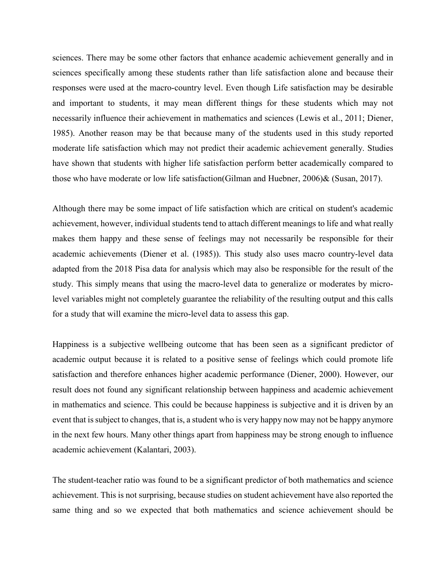sciences. There may be some other factors that enhance academic achievement generally and in sciences specifically among these students rather than life satisfaction alone and because their responses were used at the macro-country level. Even though Life satisfaction may be desirable and important to students, it may mean different things for these students which may not necessarily influence their achievement in mathematics and sciences (Lewis et al., 2011; Diener, 1985). Another reason may be that because many of the students used in this study reported moderate life satisfaction which may not predict their academic achievement generally. Studies have shown that students with higher life satisfaction perform better academically compared to those who have moderate or low life satisfaction(Gilman and Huebner, 2006)& (Susan, 2017).

Although there may be some impact of life satisfaction which are critical on student's academic achievement, however, individual students tend to attach different meanings to life and what really makes them happy and these sense of feelings may not necessarily be responsible for their academic achievements (Diener et al. (1985)). This study also uses macro country-level data adapted from the 2018 Pisa data for analysis which may also be responsible for the result of the study. This simply means that using the macro-level data to generalize or moderates by microlevel variables might not completely guarantee the reliability of the resulting output and this calls for a study that will examine the micro-level data to assess this gap.

Happiness is a subjective wellbeing outcome that has been seen as a significant predictor of academic output because it is related to a positive sense of feelings which could promote life satisfaction and therefore enhances higher academic performance (Diener, 2000). However, our result does not found any significant relationship between happiness and academic achievement in mathematics and science. This could be because happiness is subjective and it is driven by an event that is subject to changes, that is, a student who is very happy now may not be happy anymore in the next few hours. Many other things apart from happiness may be strong enough to influence academic achievement (Kalantari, 2003).

The student-teacher ratio was found to be a significant predictor of both mathematics and science achievement. This is not surprising, because studies on student achievement have also reported the same thing and so we expected that both mathematics and science achievement should be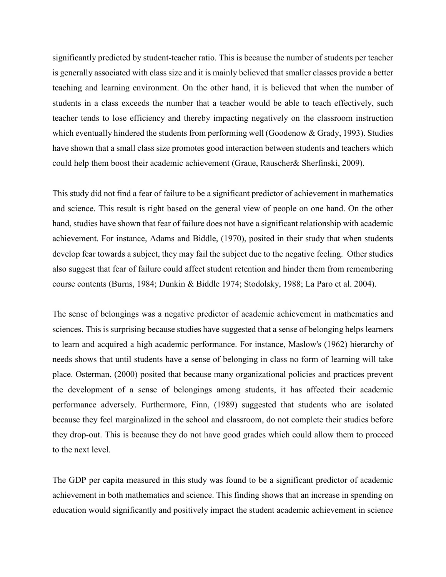significantly predicted by student-teacher ratio. This is because the number of students per teacher is generally associated with class size and it is mainly believed that smaller classes provide a better teaching and learning environment. On the other hand, it is believed that when the number of students in a class exceeds the number that a teacher would be able to teach effectively, such teacher tends to lose efficiency and thereby impacting negatively on the classroom instruction which eventually hindered the students from performing well (Goodenow & Grady, 1993). Studies have shown that a small class size promotes good interaction between students and teachers which could help them boost their academic achievement (Graue, Rauscher& Sherfinski, 2009).

This study did not find a fear of failure to be a significant predictor of achievement in mathematics and science. This result is right based on the general view of people on one hand. On the other hand, studies have shown that fear of failure does not have a significant relationship with academic achievement. For instance, Adams and Biddle, (1970), posited in their study that when students develop fear towards a subject, they may fail the subject due to the negative feeling. Other studies also suggest that fear of failure could affect student retention and hinder them from remembering course contents (Burns, 1984; Dunkin & Biddle 1974; Stodolsky, 1988; La Paro et al. 2004).

The sense of belongings was a negative predictor of academic achievement in mathematics and sciences. This is surprising because studies have suggested that a sense of belonging helps learners to learn and acquired a high academic performance. For instance, Maslow's (1962) hierarchy of needs shows that until students have a sense of belonging in class no form of learning will take place. Osterman, (2000) posited that because many organizational policies and practices prevent the development of a sense of belongings among students, it has affected their academic performance adversely. Furthermore, Finn, (1989) suggested that students who are isolated because they feel marginalized in the school and classroom, do not complete their studies before they drop-out. This is because they do not have good grades which could allow them to proceed to the next level.

The GDP per capita measured in this study was found to be a significant predictor of academic achievement in both mathematics and science. This finding shows that an increase in spending on education would significantly and positively impact the student academic achievement in science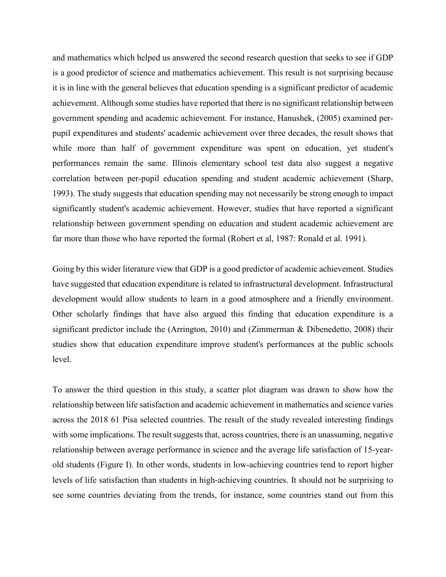and mathematics which helped us answered the second research question that seeks to see if GDP is a good predictor of science and mathematics achievement. This result is not surprising because it is in line with the general believes that education spending is a significant predictor of academic achievement. Although some studies have reported that there is no significant relationship between government spending and academic achievement. For instance, Hanushek, (2005) examined perpupil expenditures and students' academic achievement over three decades, the result shows that while more than half of government expenditure was spent on education, yet student's performances remain the same. Illinois elementary school test data also suggest a negative correlation between per-pupil education spending and student academic achievement (Sharp, 1993). The study suggests that education spending may not necessarily be strong enough to impact significantly student's academic achievement. However, studies that have reported a significant relationship between government spending on education and student academic achievement are far more than those who have reported the formal (Robert et al, 1987: Ronald et al. 1991).

Going by this wider literature view that GDP is a good predictor of academic achievement. Studies have suggested that education expenditure is related to infrastructural development. Infrastructural development would allow students to learn in a good atmosphere and a friendly environment. Other scholarly findings that have also argued this finding that education expenditure is a significant predictor include the (Arrington, 2010) and (Zimmerman & Dibenedetto, 2008) their studies show that education expenditure improve student's performances at the public schools level.

To answer the third question in this study, a scatter plot diagram was drawn to show how the relationship between life satisfaction and academic achievement in mathematics and science varies across the 2018 61 Pisa selected countries. The result of the study revealed interesting findings with some implications. The result suggests that, across countries, there is an unassuming, negative relationship between average performance in science and the average life satisfaction of 15-yearold students (Figure I). In other words, students in low-achieving countries tend to report higher levels of life satisfaction than students in high-achieving countries. It should not be surprising to see some countries deviating from the trends, for instance, some countries stand out from this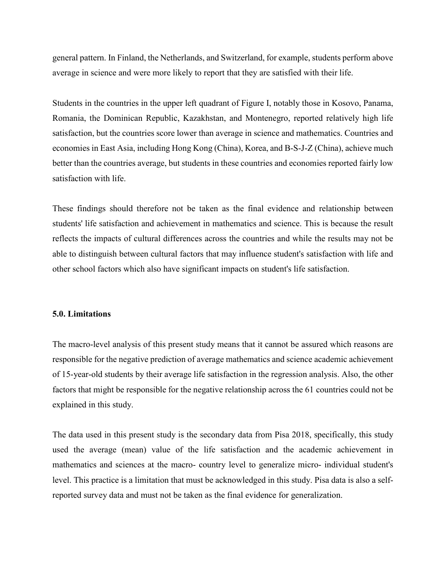general pattern. In Finland, the Netherlands, and Switzerland, for example, students perform above average in science and were more likely to report that they are satisfied with their life.

Students in the countries in the upper left quadrant of Figure I, notably those in Kosovo, Panama, Romania, the Dominican Republic, Kazakhstan, and Montenegro, reported relatively high life satisfaction, but the countries score lower than average in science and mathematics. Countries and economies in East Asia, including Hong Kong (China), Korea, and B-S-J-Z (China), achieve much better than the countries average, but students in these countries and economies reported fairly low satisfaction with life.

These findings should therefore not be taken as the final evidence and relationship between students' life satisfaction and achievement in mathematics and science. This is because the result reflects the impacts of cultural differences across the countries and while the results may not be able to distinguish between cultural factors that may influence student's satisfaction with life and other school factors which also have significant impacts on student's life satisfaction.

#### **5.0. Limitations**

The macro-level analysis of this present study means that it cannot be assured which reasons are responsible for the negative prediction of average mathematics and science academic achievement of 15-year-old students by their average life satisfaction in the regression analysis. Also, the other factors that might be responsible for the negative relationship across the 61 countries could not be explained in this study.

The data used in this present study is the secondary data from Pisa 2018, specifically, this study used the average (mean) value of the life satisfaction and the academic achievement in mathematics and sciences at the macro- country level to generalize micro- individual student's level. This practice is a limitation that must be acknowledged in this study. Pisa data is also a selfreported survey data and must not be taken as the final evidence for generalization.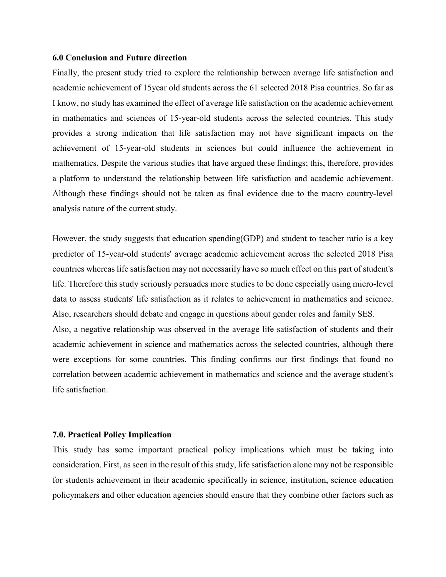#### **6.0 Conclusion and Future direction**

Finally, the present study tried to explore the relationship between average life satisfaction and academic achievement of 15year old students across the 61 selected 2018 Pisa countries. So far as I know, no study has examined the effect of average life satisfaction on the academic achievement in mathematics and sciences of 15-year-old students across the selected countries. This study provides a strong indication that life satisfaction may not have significant impacts on the achievement of 15-year-old students in sciences but could influence the achievement in mathematics. Despite the various studies that have argued these findings; this, therefore, provides a platform to understand the relationship between life satisfaction and academic achievement. Although these findings should not be taken as final evidence due to the macro country-level analysis nature of the current study.

However, the study suggests that education spending(GDP) and student to teacher ratio is a key predictor of 15-year-old students' average academic achievement across the selected 2018 Pisa countries whereas life satisfaction may not necessarily have so much effect on this part of student's life. Therefore this study seriously persuades more studies to be done especially using micro-level data to assess students' life satisfaction as it relates to achievement in mathematics and science. Also, researchers should debate and engage in questions about gender roles and family SES. Also, a negative relationship was observed in the average life satisfaction of students and their academic achievement in science and mathematics across the selected countries, although there were exceptions for some countries. This finding confirms our first findings that found no correlation between academic achievement in mathematics and science and the average student's life satisfaction.

#### **7.0. Practical Policy Implication**

This study has some important practical policy implications which must be taking into consideration. First, as seen in the result of this study, life satisfaction alone may not be responsible for students achievement in their academic specifically in science, institution, science education policymakers and other education agencies should ensure that they combine other factors such as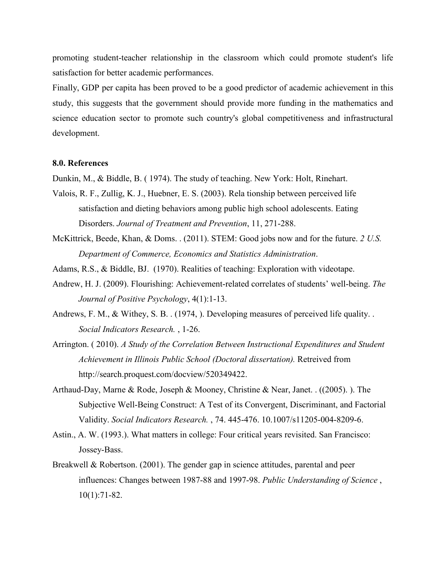promoting student-teacher relationship in the classroom which could promote student's life satisfaction for better academic performances.

Finally, GDP per capita has been proved to be a good predictor of academic achievement in this study, this suggests that the government should provide more funding in the mathematics and science education sector to promote such country's global competitiveness and infrastructural development.

#### **8.0. References**

Dunkin, M., & Biddle, B. ( 1974). The study of teaching. New York: Holt, Rinehart.

- Valois, R. F., Zullig, K. J., Huebner, E. S. (2003). Rela tionship between perceived life satisfaction and dieting behaviors among public high school adolescents. Eating Disorders. *Journal of Treatment and Prevention*, 11, 271-288.
- McKittrick, Beede, Khan, & Doms. . (2011). STEM: Good jobs now and for the future. *2 U.S. Department of Commerce, Economics and Statistics Administration*.
- Adams, R.S., & Biddle, BJ. (1970). Realities of teaching: Exploration with videotape.
- Andrew, H. J. (2009). Flourishing: Achievement-related correlates of students' well-being. *The Journal of Positive Psychology*, 4(1):1-13.
- Andrews, F. M., & Withey, S. B. . (1974, ). Developing measures of perceived life quality. . *Social Indicators Research.* , 1-26.
- Arrington. ( 2010). *A Study of the Correlation Between Instructional Expenditures and Student Achievement in Illinois Public School (Doctoral dissertation).* Retreived from http://search.proquest.com/docview/520349422.
- Arthaud-Day, Marne & Rode, Joseph & Mooney, Christine & Near, Janet. . ((2005). ). The Subjective Well-Being Construct: A Test of its Convergent, Discriminant, and Factorial Validity. *Social Indicators Research.* , 74. 445-476. 10.1007/s11205-004-8209-6.
- Astin., A. W. (1993.). What matters in college: Four critical years revisited. San Francisco: Jossey-Bass.
- Breakwell & Robertson. (2001). The gender gap in science attitudes, parental and peer influences: Changes between 1987-88 and 1997-98. *Public Understanding of Science* , 10(1):71-82.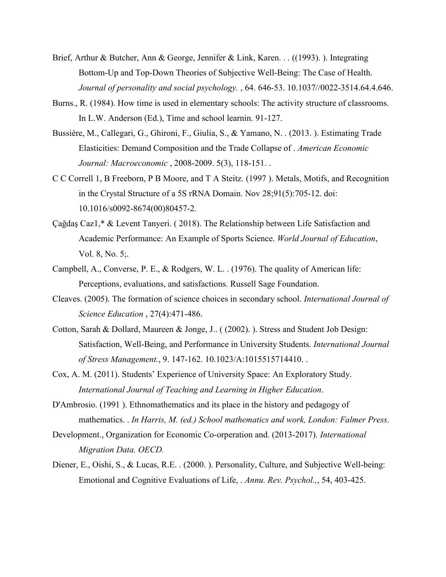- Brief, Arthur & Butcher, Ann & George, Jennifer & Link, Karen. . . ((1993). ). Integrating Bottom-Up and Top-Down Theories of Subjective Well-Being: The Case of Health. *Journal of personality and social psychology.* , 64. 646-53. 10.1037//0022-3514.64.4.646.
- Burns., R. (1984). How time is used in elementary schools: The activity structure of classrooms. In L.W. Anderson (Ed.), Time and school learnin. 91-127.
- Bussière, M., Callegari, G., Ghironi, F., Giulia, S., & Yamano, N. . (2013. ). Estimating Trade Elasticities: Demand Composition and the Trade Collapse of . *American Economic Journal: Macroeconomic* , 2008-2009. 5(3), 118-151. .
- C C Correll 1, B Freeborn, P B Moore, and T A Steitz. (1997 ). Metals, Motifs, and Recognition in the Crystal Structure of a 5S rRNA Domain. Nov 28;91(5):705-12. doi: 10.1016/s0092-8674(00)80457-2.
- Çağdaş Caz1,\* & Levent Tanyeri. ( 2018). The Relationship between Life Satisfaction and Academic Performance: An Example of Sports Science. *World Journal of Education*, Vol. 8, No. 5;.
- Campbell, A., Converse, P. E., & Rodgers, W. L. . (1976). The quality of American life: Perceptions, evaluations, and satisfactions. Russell Sage Foundation.
- Cleaves. (2005). The formation of science choices in secondary school. *International Journal of Science Education* , 27(4):471-486.
- Cotton, Sarah & Dollard, Maureen & Jonge, J.. ( (2002). ). Stress and Student Job Design: Satisfaction, Well-Being, and Performance in University Students. *International Journal of Stress Management.*, 9. 147-162. 10.1023/A:1015515714410. .
- Cox, A. M. (2011). Students' Experience of University Space: An Exploratory Study. *International Journal of Teaching and Learning in Higher Education*.
- D'Ambrosio. (1991 ). Ethnomathematics and its place in the history and pedagogy of mathematics. . *In Harris, M. (ed.) School mathematics and work, London: Falmer Press*.
- Development., Organization for Economic Co-orperation and. (2013-2017). *International Migration Data. OECD.*
- Diener, E., Oishi, S., & Lucas, R.E. . (2000. ). Personality, Culture, and Subjective Well-being: Emotional and Cognitive Evaluations of Life, . *Annu. Rev. Psychol.,*, 54, 403-425.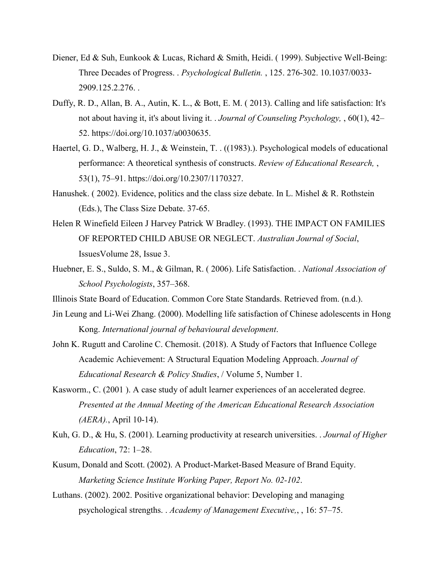- Diener, Ed & Suh, Eunkook & Lucas, Richard & Smith, Heidi. ( 1999). Subjective Well-Being: Three Decades of Progress. . *Psychological Bulletin.* , 125. 276-302. 10.1037/0033- 2909.125.2.276. .
- Duffy, R. D., Allan, B. A., Autin, K. L., & Bott, E. M. ( 2013). Calling and life satisfaction: It's not about having it, it's about living it. . *Journal of Counseling Psychology,* , 60(1), 42– 52. https://doi.org/10.1037/a0030635.
- Haertel, G. D., Walberg, H. J., & Weinstein, T. . ((1983).). Psychological models of educational performance: A theoretical synthesis of constructs. *Review of Educational Research,* , 53(1), 75–91. https://doi.org/10.2307/1170327.
- Hanushek. ( 2002). Evidence, politics and the class size debate. In L. Mishel & R. Rothstein (Eds.), The Class Size Debate. 37-65.
- Helen R Winefield Eileen J Harvey Patrick W Bradley. (1993). THE IMPACT ON FAMILIES OF REPORTED CHILD ABUSE OR NEGLECT. *Australian Journal of Social*, IssuesVolume 28, Issue 3.
- Huebner, E. S., Suldo, S. M., & Gilman, R. ( 2006). Life Satisfaction. . *National Association of School Psychologists*, 357–368.
- Illinois State Board of Education. Common Core State Standards. Retrieved from. (n.d.).
- Jin Leung and Li-Wei Zhang. (2000). Modelling life satisfaction of Chinese adolescents in Hong Kong. *International journal of behavioural development*.
- John K. Rugutt and Caroline C. Chemosit. (2018). A Study of Factors that Influence College Academic Achievement: A Structural Equation Modeling Approach. *Journal of Educational Research & Policy Studies*, / Volume 5, Number 1.
- Kasworm., C. (2001 ). A case study of adult learner experiences of an accelerated degree. *Presented at the Annual Meeting of the American Educational Research Association (AERA).*, April 10-14).
- Kuh, G. D., & Hu, S. (2001). Learning productivity at research universities. . *Journal of Higher Education*, 72: 1–28.
- Kusum, Donald and Scott. (2002). A Product-Market-Based Measure of Brand Equity. *Marketing Science Institute Working Paper, Report No. 02-102*.
- Luthans. (2002). 2002. Positive organizational behavior: Developing and managing psychological strengths. . *Academy of Management Executive,*, , 16: 57–75.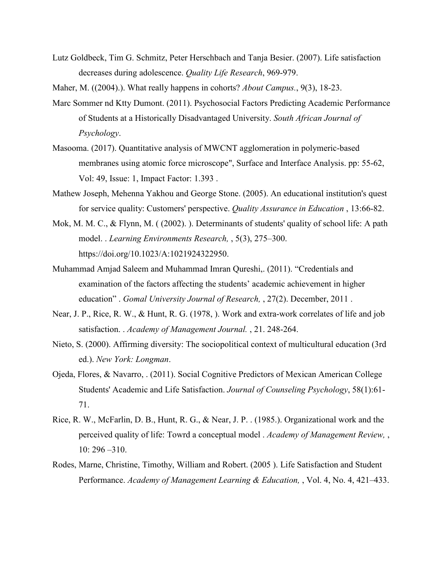- Lutz Goldbeck, Tim G. Schmitz, Peter Herschbach and Tanja Besier. (2007). Life satisfaction decreases during adolescence. *Quality Life Research*, 969-979.
- Maher, M. ((2004).). What really happens in cohorts? *About Campus.*, 9(3), 18-23.
- Marc Sommer nd Ktty Dumont. (2011). Psychosocial Factors Predicting Academic Performance of Students at a Historically Disadvantaged University. *South African Journal of Psychology*.
- Masooma. (2017). Quantitative analysis of MWCNT agglomeration in polymeric-based membranes using atomic force microscope", Surface and Interface Analysis. pp: 55-62, Vol: 49, Issue: 1, Impact Factor: 1.393 .
- Mathew Joseph, Mehenna Yakhou and George Stone. (2005). An educational institution's quest for service quality: Customers' perspective. *Quality Assurance in Education* , 13:66-82.
- Mok, M. M. C., & Flynn, M. ((2002).). Determinants of students' quality of school life: A path model. . *Learning Environments Research,* , 5(3), 275–300. https://doi.org/10.1023/A:1021924322950.
- Muhammad Amjad Saleem and Muhammad Imran Qureshi,. (2011). "Credentials and examination of the factors affecting the students' academic achievement in higher education" . *Gomal University Journal of Research,* , 27(2). December, 2011 .
- Near, J. P., Rice, R. W., & Hunt, R. G. (1978, ). Work and extra-work correlates of life and job satisfaction. . *Academy of Management Journal.* , 21. 248-264.
- Nieto, S. (2000). Affirming diversity: The sociopolitical context of multicultural education (3rd ed.). *New York: Longman*.
- Ojeda, Flores, & Navarro, . (2011). Social Cognitive Predictors of Mexican American College Students' Academic and Life Satisfaction. *Journal of Counseling Psychology*, 58(1):61- 71.
- Rice, R. W., McFarlin, D. B., Hunt, R. G., & Near, J. P. . (1985.). Organizational work and the perceived quality of life: Towrd a conceptual model . *Academy of Management Review,* , 10: 296 –310.
- Rodes, Marne, Christine, Timothy, William and Robert. (2005 ). Life Satisfaction and Student Performance. *Academy of Management Learning & Education,* , Vol. 4, No. 4, 421–433.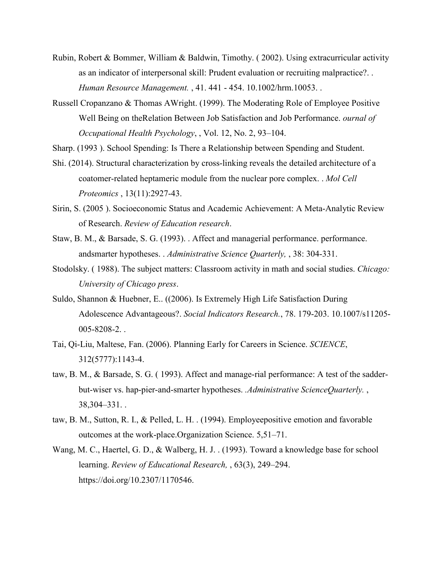- Rubin, Robert & Bommer, William & Baldwin, Timothy. ( 2002). Using extracurricular activity as an indicator of interpersonal skill: Prudent evaluation or recruiting malpractice?. . *Human Resource Management.* , 41. 441 - 454. 10.1002/hrm.10053. .
- Russell Cropanzano & Thomas AWright. (1999). The Moderating Role of Employee Positive Well Being on theRelation Between Job Satisfaction and Job Performance. *ournal of Occupational Health Psychology*, , Vol. 12, No. 2, 93–104.
- Sharp. (1993 ). School Spending: Is There a Relationship between Spending and Student.
- Shi. (2014). Structural characterization by cross-linking reveals the detailed architecture of a coatomer-related heptameric module from the nuclear pore complex. . *Mol Cell Proteomics* , 13(11):2927-43.
- Sirin, S. (2005 ). Socioeconomic Status and Academic Achievement: A Meta-Analytic Review of Research. *Review of Education research*.
- Staw, B. M., & Barsade, S. G. (1993). . Affect and managerial performance. performance. andsmarter hypotheses. . *Administrative Science Quarterly,* , 38: 304-331.
- Stodolsky. ( 1988). The subject matters: Classroom activity in math and social studies. *Chicago: University of Chicago press*.
- Suldo, Shannon & Huebner, E.. ((2006). Is Extremely High Life Satisfaction During Adolescence Advantageous?. *Social Indicators Research.*, 78. 179-203. 10.1007/s11205- 005-8208-2. .
- Tai, Qi-Liu, Maltese, Fan. (2006). Planning Early for Careers in Science. *SCIENCE*, 312(5777):1143-4.
- taw, B. M., & Barsade, S. G. ( 1993). Affect and manage-rial performance: A test of the sadderbut-wiser vs. hap-pier-and-smarter hypotheses. *.Administrative ScienceQuarterly.* , 38,304–331. .
- taw, B. M., Sutton, R. I., & Pelled, L. H. . (1994). Employeepositive emotion and favorable outcomes at the work-place.Organization Science. 5,51–71.
- Wang, M. C., Haertel, G. D., & Walberg, H. J. . (1993). Toward a knowledge base for school learning. *Review of Educational Research,* , 63(3), 249–294. https://doi.org/10.2307/1170546.